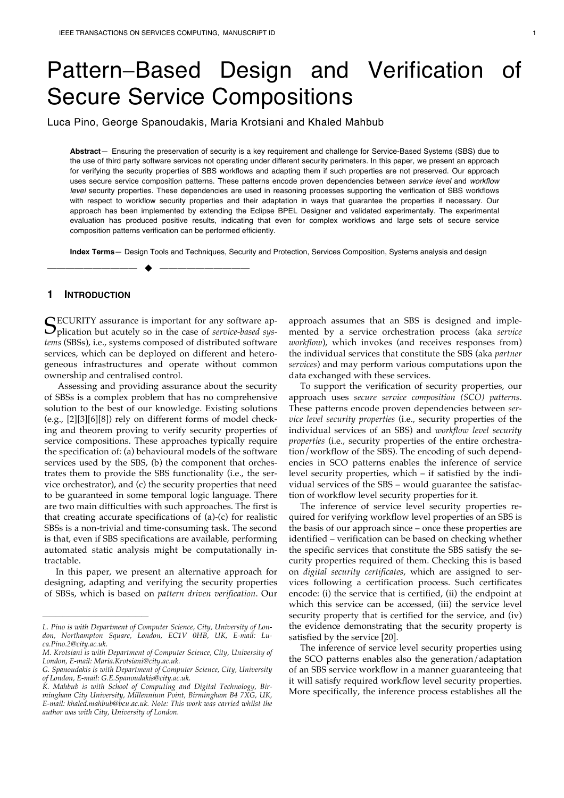# Pattern-Based Design and Verification of Secure Service Compositions

Luca Pino, George Spanoudakis, Maria Krotsiani and Khaled Mahbub

**Abstract**— Ensuring the preservation of security is a key requirement and challenge for Service-Based Systems (SBS) due to the use of third party software services not operating under different security perimeters. In this paper, we present an approach for verifying the security properties of SBS workflows and adapting them if such properties are not preserved. Our approach uses secure service composition patterns. These patterns encode proven dependencies between *service level* and *workflow level* security properties. These dependencies are used in reasoning processes supporting the verification of SBS workflows with respect to workflow security properties and their adaptation in ways that guarantee the properties if necessary. Our approach has been implemented by extending the Eclipse BPEL Designer and validated experimentally. The experimental evaluation has produced positive results, indicating that even for complex workflows and large sets of secure service composition patterns verification can be performed efficiently.

**Index Terms**— Design Tools and Techniques, Security and Protection, Services Composition, Systems analysis and design

# **1 INTRODUCTION**

SECURITY assurance is important for any software application but acutely so in the case of *service-based sys*plication but acutely so in the case of *service-based systems* (SBSs), i.e., systems composed of distributed software services, which can be deployed on different and heterogeneous infrastructures and operate without common ownership and centralised control.

—————————— u ——————————

Assessing and providing assurance about the security of SBSs is a complex problem that has no comprehensive solution to the best of our knowledge. Existing solutions (e.g., [2][3][6][8]) rely on different forms of model checking and theorem proving to verify security properties of service compositions. These approaches typically require the specification of: (a) behavioural models of the software services used by the SBS, (b) the component that orchestrates them to provide the SBS functionality (i.e., the service orchestrator), and (c) the security properties that need to be guaranteed in some temporal logic language. There are two main difficulties with such approaches. The first is that creating accurate specifications of (a)-(c) for realistic SBSs is a non-trivial and time-consuming task. The second is that, even if SBS specifications are available, performing automated static analysis might be computationally intractable.

In this paper, we present an alternative approach for designing, adapting and verifying the security properties of SBSs, which is based on *pattern driven verification*. Our

————————————————

approach assumes that an SBS is designed and implemented by a service orchestration process (aka *service workflow*), which invokes (and receives responses from) the individual services that constitute the SBS (aka *partner services*) and may perform various computations upon the data exchanged with these services.

To support the verification of security properties, our approach uses *secure service composition (SCO) patterns*. These patterns encode proven dependencies between *service level security properties* (i.e., security properties of the individual services of an SBS) and *workflow level security properties* (i.e., security properties of the entire orchestration/workflow of the SBS). The encoding of such dependencies in SCO patterns enables the inference of service level security properties, which – if satisfied by the individual services of the SBS – would guarantee the satisfaction of workflow level security properties for it.

The inference of service level security properties required for verifying workflow level properties of an SBS is the basis of our approach since – once these properties are identified – verification can be based on checking whether the specific services that constitute the SBS satisfy the security properties required of them. Checking this is based on *digital security certificates*, which are assigned to services following a certification process. Such certificates encode: (i) the service that is certified, (ii) the endpoint at which this service can be accessed, (iii) the service level security property that is certified for the service, and (iv) the evidence demonstrating that the security property is satisfied by the service [20].

The inference of service level security properties using the SCO patterns enables also the generation/adaptation of an SBS service workflow in a manner guaranteeing that it will satisfy required workflow level security properties. More specifically, the inference process establishes all the

*L. Pino is with Department of Computer Science, City, University of London, Northampton Square, London, EC1V 0HB, UK, E-mail: Luca.Pino.2@city.ac.uk.* 

*M. Krotsiani is with Department of Computer Science, City, University of London, E-mail: Maria.Krotsiani@city.ac.uk.*

*G. Spanoudakis is with Department of Computer Science, City, University of London, E-mail: G.E.Spanoudakis@city.ac.uk.* 

*K. Mahbub is with School of Computing and Digital Technology, Birmingham City University, Millennium Point, Birmingham B4 7XG, UK, E-mail: khaled.mahbub@bcu.ac.uk. Note: This work was carried whilst the author was with City, University of London.*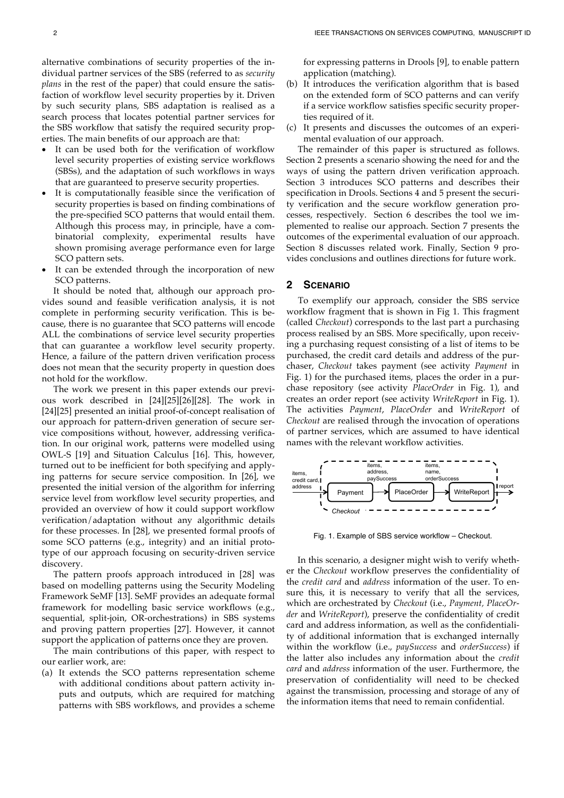alternative combinations of security properties of the individual partner services of the SBS (referred to as *security plans* in the rest of the paper) that could ensure the satisfaction of workflow level security properties by it. Driven by such security plans, SBS adaptation is realised as a search process that locates potential partner services for the SBS workflow that satisfy the required security properties. The main benefits of our approach are that:

- It can be used both for the verification of workflow level security properties of existing service workflows (SBSs), and the adaptation of such workflows in ways that are guaranteed to preserve security properties.
- It is computationally feasible since the verification of security properties is based on finding combinations of the pre-specified SCO patterns that would entail them. Although this process may, in principle, have a combinatorial complexity, experimental results have shown promising average performance even for large SCO pattern sets.
- It can be extended through the incorporation of new SCO patterns.

It should be noted that, although our approach provides sound and feasible verification analysis, it is not complete in performing security verification. This is because, there is no guarantee that SCO patterns will encode ALL the combinations of service level security properties that can guarantee a workflow level security property. Hence, a failure of the pattern driven verification process does not mean that the security property in question does not hold for the workflow.

The work we present in this paper extends our previous work described in [24][25][26][28]. The work in [24][25] presented an initial proof-of-concept realisation of our approach for pattern-driven generation of secure service compositions without, however, addressing verification. In our original work, patterns were modelled using OWL-S [19] and Situation Calculus [16]. This, however, turned out to be inefficient for both specifying and applying patterns for secure service composition. In [26], we presented the initial version of the algorithm for inferring service level from workflow level security properties, and provided an overview of how it could support workflow verification/adaptation without any algorithmic details for these processes. In [28], we presented formal proofs of some SCO patterns (e.g., integrity) and an initial prototype of our approach focusing on security-driven service discovery.

The pattern proofs approach introduced in [28] was based on modelling patterns using the Security Modeling Framework SeMF [13]. SeMF provides an adequate formal framework for modelling basic service workflows (e.g., sequential, split-join, OR-orchestrations) in SBS systems and proving pattern properties [27]. However, it cannot support the application of patterns once they are proven.

The main contributions of this paper, with respect to our earlier work, are:

(a) It extends the SCO patterns representation scheme with additional conditions about pattern activity inputs and outputs, which are required for matching patterns with SBS workflows, and provides a scheme

for expressing patterns in Drools [9], to enable pattern application (matching).

- (b) It introduces the verification algorithm that is based on the extended form of SCO patterns and can verify if a service workflow satisfies specific security properties required of it.
- (c) It presents and discusses the outcomes of an experimental evaluation of our approach.

The remainder of this paper is structured as follows. Section 2 presents a scenario showing the need for and the ways of using the pattern driven verification approach. Section 3 introduces SCO patterns and describes their specification in Drools. Sections 4 and 5 present the security verification and the secure workflow generation processes, respectively. Section 6 describes the tool we implemented to realise our approach. Section 7 presents the outcomes of the experimental evaluation of our approach. Section 8 discusses related work. Finally, Section 9 provides conclusions and outlines directions for future work.

# **2 SCENARIO**

To exemplify our approach, consider the SBS service workflow fragment that is shown in Fig 1. This fragment (called *Checkout*) corresponds to the last part a purchasing process realised by an SBS. More specifically, upon receiving a purchasing request consisting of a list of items to be purchased, the credit card details and address of the purchaser, *Checkout* takes payment (see activity *Payment* in Fig. 1) for the purchased items, places the order in a purchase repository (see activity *PlaceOrder* in Fig. 1), and creates an order report (see activity *WriteReport* in Fig. 1). The activities *Payment*, *PlaceOrder* and *WriteReport* of *Checkout* are realised through the invocation of operations of partner services, which are assumed to have identical names with the relevant workflow activities.



Fig. 1. Example of SBS service workflow – Checkout.

In this scenario, a designer might wish to verify whether the *Checkout* workflow preserves the confidentiality of the *credit card* and *address* information of the user. To ensure this, it is necessary to verify that all the services, which are orchestrated by *Checkout* (i.e., *Payment, PlaceOrder* and *WriteReport*), preserve the confidentiality of credit card and address information, as well as the confidentiality of additional information that is exchanged internally within the workflow (i.e., *paySuccess* and *orderSuccess*) if the latter also includes any information about the *credit card* and *address* information of the user. Furthermore, the preservation of confidentiality will need to be checked against the transmission, processing and storage of any of the information items that need to remain confidential.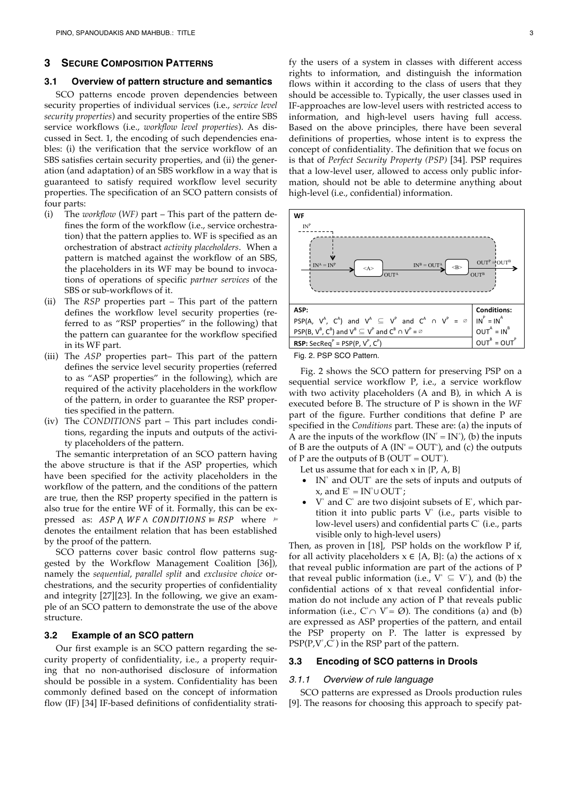#### **3 SECURE COMPOSITION PATTERNS**

#### **3.1 Overview of pattern structure and semantics**

SCO patterns encode proven dependencies between security properties of individual services (i.e., *service level security properties*) and security properties of the entire SBS service workflows (i.e., *workflow level properties*). As discussed in Sect. 1, the encoding of such dependencies enables: (i) the verification that the service workflow of an SBS satisfies certain security properties, and (ii) the generation (and adaptation) of an SBS workflow in a way that is guaranteed to satisfy required workflow level security properties. The specification of an SCO pattern consists of four parts:

- (i) The *workflow* (*WF)* part This part of the pattern defines the form of the workflow (i.e., service orchestration) that the pattern applies to. WF is specified as an orchestration of abstract *activity placeholders*. When a pattern is matched against the workflow of an SBS, the placeholders in its WF may be bound to invocations of operations of specific *partner services* of the SBS or sub-workflows of it.
- (ii) The *RSP* properties part This part of the pattern defines the workflow level security properties (referred to as "RSP properties" in the following) that the pattern can guarantee for the workflow specified in its WF part.
- (iii) The *ASP* properties part– This part of the pattern defines the service level security properties (referred to as "ASP properties" in the following), which are required of the activity placeholders in the workflow of the pattern, in order to guarantee the RSP properties specified in the pattern.
- (iv) The *CONDITIONS* part This part includes conditions, regarding the inputs and outputs of the activity placeholders of the pattern.

The semantic interpretation of an SCO pattern having the above structure is that if the ASP properties, which have been specified for the activity placeholders in the workflow of the pattern, and the conditions of the pattern are true, then the RSP property specified in the pattern is also true for the entire WF of it. Formally, this can be expressed as:  $ASP \wedge WF \wedge CONDITIONS \vDash RSP$  where  $\vDash$ denotes the entailment relation that has been established by the proof of the pattern.

SCO patterns cover basic control flow patterns suggested by the Workflow Management Coalition [36]), namely the *sequential*, *parallel split* and *exclusive choice* orchestrations, and the security properties of confidentiality and integrity [27][23]. In the following, we give an example of an SCO pattern to demonstrate the use of the above structure.

### **3.2 Example of an SCO pattern**

Our first example is an SCO pattern regarding the security property of confidentiality, i.e., a property requiring that no non-authorised disclosure of information should be possible in a system. Confidentiality has been commonly defined based on the concept of information flow (IF) [34] IF-based definitions of confidentiality strati-

fy the users of a system in classes with different access rights to information, and distinguish the information flows within it according to the class of users that they should be accessible to. Typically, the user classes used in IF-approaches are low-level users with restricted access to information, and high-level users having full access. Based on the above principles, there have been several definitions of properties, whose intent is to express the concept of confidentiality. The definition that we focus on is that of *Perfect Security Property (PSP)* [34]. PSP requires that a low-level user, allowed to access only public information, should not be able to determine anything about high-level (i.e., confidential) information.



Fig. 2. PSP SCO Pattern.

Fig. 2 shows the SCO pattern for preserving PSP on a sequential service workflow P, i.e., a service workflow with two activity placeholders (A and B), in which A is executed before B. The structure of P is shown in the *WF* part of the figure. Further conditions that define P are specified in the *Conditions* part. These are: (a) the inputs of A are the inputs of the workflow  $(IN<sup>r</sup> = IN<sup>s</sup>)$ , (b) the inputs of B are the outputs of A ( $IN^* = OUT^*$ ), and (c) the outputs of P are the outputs of B (OUT<sup> $\degree$ </sup> = OUT $\degree$ ).

Let us assume that for each  $x$  in  $\{P, A, B\}$ 

- IN<sup> $x$ </sup> and OUT<sup> $x$ </sup> are the sets of inputs and outputs of x, and  $E^* = IN^* \cup OUT^*$ ;
- $V^*$  and  $C^*$  are two disjoint subsets of  $E^*$ , which partition it into public parts  $V^*$  (i.e., parts visible to low-level users) and confidential parts  $C^*$  (i.e., parts visible only to high-level users)

Then, as proven in [18], PSP holds on the workflow P if, for all activity placeholders  $x \in \{A, B\}$ : (a) the actions of x that reveal public information are part of the actions of P that reveal public information (i.e.,  $V^* \subseteq V^*$ ), and (b) the confidential actions of x that reveal confidential information do not include any action of P that reveals public information (i.e.,  $C \cap V = \emptyset$ ). The conditions (a) and (b) are expressed as ASP properties of the pattern, and entail the PSP property on P. The latter is expressed by  $\text{PSP}(P, V^{\text{p}}, C^{\text{p}})$  in the RSP part of the pattern.

#### **3.3 Encoding of SCO patterns in Drools**

#### *3.1.1 Overview of rule language*

SCO patterns are expressed as Drools production rules [9]. The reasons for choosing this approach to specify pat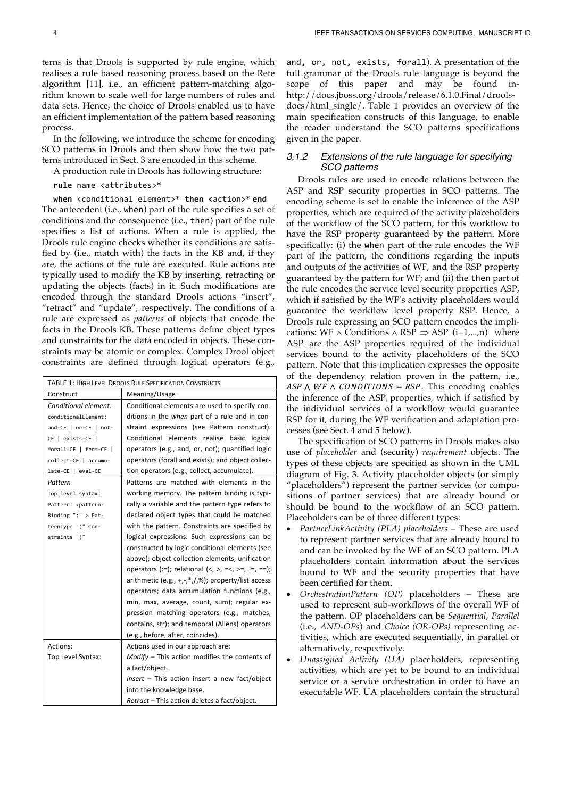terns is that Drools is supported by rule engine, which realises a rule based reasoning process based on the Rete algorithm [11], i.e., an efficient pattern-matching algorithm known to scale well for large numbers of rules and data sets. Hence, the choice of Drools enabled us to have an efficient implementation of the pattern based reasoning process.

In the following, we introduce the scheme for encoding SCO patterns in Drools and then show how the two patterns introduced in Sect. 3 are encoded in this scheme.

A production rule in Drools has following structure:

**rule** name <attributes>\*

**when** <conditional element>\* **then <**action>\* **end** The antecedent (i.e., when) part of the rule specifies a set of conditions and the consequence (i.e., then) part of the rule specifies a list of actions. When a rule is applied, the Drools rule engine checks whether its conditions are satisfied by (i.e., match with) the facts in the KB and, if they are, the actions of the rule are executed. Rule actions are typically used to modify the KB by inserting, retracting or updating the objects (facts) in it. Such modifications are encoded through the standard Drools actions "insert", "retract" and "update", respectively. The conditions of a rule are expressed as *patterns* of objects that encode the facts in the Drools KB. These patterns define object types and constraints for the data encoded in objects. These constraints may be atomic or complex. Complex Drool object

constraints are defined through logical operators (e.g.,

|                                                                                                            | <b>TABLE 1: HIGH LEVEL DROOLS RULE SPECIFICATION CONSTRUCTS</b>                         |  |  |  |  |  |  |
|------------------------------------------------------------------------------------------------------------|-----------------------------------------------------------------------------------------|--|--|--|--|--|--|
| Construct                                                                                                  | Meaning/Usage                                                                           |  |  |  |  |  |  |
| Conditional element:                                                                                       | Conditional elements are used to specify con-                                           |  |  |  |  |  |  |
| conditionalElement:                                                                                        | ditions in the when part of a rule and in con-                                          |  |  |  |  |  |  |
| and-CE   or-CE   not-                                                                                      | straint expressions (see Pattern construct).                                            |  |  |  |  |  |  |
| CE   exists-CE                                                                                             | Conditional elements realise basic logical                                              |  |  |  |  |  |  |
| forall-CE   from-CE                                                                                        | operators (e.g., and, or, not); quantified logic                                        |  |  |  |  |  |  |
| collect-CE   accumu-                                                                                       | operators (forall and exists); and object collec-                                       |  |  |  |  |  |  |
| late-CE   eval-CE                                                                                          | tion operators (e.g., collect, accumulate).                                             |  |  |  |  |  |  |
| Pattern                                                                                                    | Patterns are matched with elements in the                                               |  |  |  |  |  |  |
| Top level syntax:                                                                                          | working memory. The pattern binding is typi-                                            |  |  |  |  |  |  |
| Pattern: <pattern-< td=""><td colspan="4">cally a variable and the pattern type refers to</td></pattern-<> | cally a variable and the pattern type refers to                                         |  |  |  |  |  |  |
| Binding ":" > Pat-                                                                                         | declared object types that could be matched                                             |  |  |  |  |  |  |
| ternType "(" Con-                                                                                          | with the pattern. Constraints are specified by                                          |  |  |  |  |  |  |
| straints ")"                                                                                               | logical expressions. Such expressions can be                                            |  |  |  |  |  |  |
|                                                                                                            | constructed by logic conditional elements (see                                          |  |  |  |  |  |  |
|                                                                                                            | above); object collection elements, unification                                         |  |  |  |  |  |  |
|                                                                                                            | operators (:=); relational $\langle 0, 0, 0, 0, 0 \rangle = \langle 0, 0, 0, 0 \rangle$ |  |  |  |  |  |  |
|                                                                                                            | arithmetic (e.g., +,-, $*,$ /,%); property/list access                                  |  |  |  |  |  |  |
|                                                                                                            | operators; data accumulation functions (e.g.,                                           |  |  |  |  |  |  |
|                                                                                                            | min, max, average, count, sum); regular ex-                                             |  |  |  |  |  |  |
|                                                                                                            | pression matching operators (e.g., matches,                                             |  |  |  |  |  |  |
|                                                                                                            | contains, str); and temporal (Allens) operators                                         |  |  |  |  |  |  |
|                                                                                                            | (e.g., before, after, coincides).                                                       |  |  |  |  |  |  |
| Actions:                                                                                                   | Actions used in our approach are:                                                       |  |  |  |  |  |  |
| Top Level Syntax:                                                                                          | $Modify$ – This action modifies the contents of                                         |  |  |  |  |  |  |
|                                                                                                            | a fact/object.                                                                          |  |  |  |  |  |  |
|                                                                                                            | Insert - This action insert a new fact/object                                           |  |  |  |  |  |  |
|                                                                                                            | into the knowledge base.                                                                |  |  |  |  |  |  |
|                                                                                                            | Retract - This action deletes a fact/object.                                            |  |  |  |  |  |  |

and, or, not, exists, forall). A presentation of the full grammar of the Drools rule language is beyond the scope of this paper and may be found inhttp://docs.jboss.org/drools/release/6.1.0.Final/droolsdocs/html\_single/. Table 1 provides an overview of the main specification constructs of this language, to enable the reader understand the SCO patterns specifications given in the paper.

# *3.1.2 Extensions of the rule language for specifying SCO patterns*

Drools rules are used to encode relations between the ASP and RSP security properties in SCO patterns. The encoding scheme is set to enable the inference of the ASP properties, which are required of the activity placeholders of the workflow of the SCO pattern, for this workflow to have the RSP property guaranteed by the pattern. More specifically: (i) the when part of the rule encodes the WF part of the pattern, the conditions regarding the inputs and outputs of the activities of WF, and the RSP property guaranteed by the pattern for WF; and (ii) the then part of the rule encodes the service level security properties ASP, which if satisfied by the WF's activity placeholders would guarantee the workflow level property RSP. Hence, a Drools rule expressing an SCO pattern encodes the implications: WF  $\land$  Conditions  $\land$  RSP  $\Rightarrow$  ASP<sub>i</sub> (i=1,...,n) where ASP<sub>i</sub> are the ASP properties required of the individual services bound to the activity placeholders of the SCO pattern. Note that this implication expresses the opposite of the dependency relation proven in the pattern, i.e.,  $ASP \wedge WF \wedge CONDITIONS \models RSP$ . This encoding enables the inference of the ASP<sub>i</sub> properties, which if satisfied by the individual services of a workflow would guarantee RSP for it, during the WF verification and adaptation processes (see Sect. 4 and 5 below).

The specification of SCO patterns in Drools makes also use of *placeholder* and (security) *requirement* objects. The types of these objects are specified as shown in the UML diagram of Fig. 3. Activity placeholder objects (or simply "placeholders") represent the partner services (or compositions of partner services) that are already bound or should be bound to the workflow of an SCO pattern. Placeholders can be of three different types:

- *PartnerLinkActivity (PLA) placeholders* These are used to represent partner services that are already bound to and can be invoked by the WF of an SCO pattern. PLA placeholders contain information about the services bound to WF and the security properties that have been certified for them.
- *OrchestrationPattern (OP)* placeholders These are used to represent sub-workflows of the overall WF of the pattern. OP placeholders can be *Sequential*, *Parallel* (i.e., *AND-OPs*) and *Choice (OR-OPs)* representing activities, which are executed sequentially, in parallel or alternatively, respectively.
- *Unassigned Activity (UA)* placeholders, representing activities, which are yet to be bound to an individual service or a service orchestration in order to have an executable WF. UA placeholders contain the structural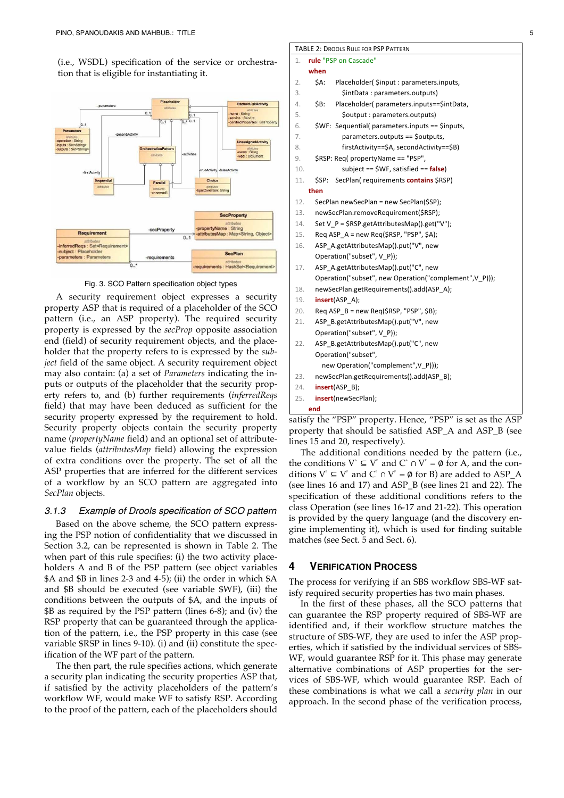(i.e., WSDL) specification of the service or orchestration that is eligible for instantiating it.



Fig. 3. SCO Pattern specification object types

A security requirement object expresses a security property ASP that is required of a placeholder of the SCO pattern (i.e., an ASP property). The required security property is expressed by the *secProp* opposite association end (field) of security requirement objects, and the placeholder that the property refers to is expressed by the *subject* field of the same object. A security requirement object may also contain: (a) a set of *Parameters* indicating the inputs or outputs of the placeholder that the security property refers to, and (b) further requirements (*inferredReqs* field) that may have been deduced as sufficient for the security property expressed by the requirement to hold. Security property objects contain the security property name (*propertyName* field) and an optional set of attributevalue fields (*attributesMap* field) allowing the expression of extra conditions over the property. The set of all the ASP properties that are inferred for the different services of a workflow by an SCO pattern are aggregated into *SecPlan* objects.

## *3.1.3 Example of Drools specification of SCO pattern*

Based on the above scheme, the SCO pattern expressing the PSP notion of confidentiality that we discussed in Section 3.2, can be represented is shown in Table 2. The when part of this rule specifies: (i) the two activity placeholders A and B of the PSP pattern (see object variables \$A and \$B in lines 2-3 and 4-5); (ii) the order in which \$A and \$B should be executed (see variable \$WF), (iii) the conditions between the outputs of \$A, and the inputs of \$B as required by the PSP pattern (lines 6-8); and (iv) the RSP property that can be guaranteed through the application of the pattern, i.e., the PSP property in this case (see variable \$RSP in lines 9-10). (i) and (ii) constitute the specification of the WF part of the pattern.

The then part, the rule specifies actions, which generate a security plan indicating the security properties ASP that, if satisfied by the activity placeholders of the pattern's workflow WF, would make WF to satisfy RSP. According to the proof of the pattern, each of the placeholders should

# 1. **rule** "PSP on Cascade" **when** 2. \$A: Placeholder( \$input : parameters.inputs, 3. **\$intData** : parameters.outputs) 4. \$B: Placeholder( parameters.inputs==\$intData, 5. **\$output** : parameters.outputs) 6. \$WF: Sequential( parameters.inputs == \$inputs, 7. parameters.outputs == \$outputs, 8. firstActivity==\$A, secondActivity==\$B) 9. \$RSP: Req( propertyName == "PSP", 10. subject == \$WF, satisfied == **false**) 11. \$SP: SecPlan( requirements **contains** \$RSP) **then** 12. SecPlan newSecPlan = new SecPlan(\$SP); 13. newSecPlan.removeRequirement(\$RSP); 14. Set V P = \$RSP.getAttributesMap().get("V"); 15. Req ASP  $A = new Reg(SRSP, "PSP", $A);$ 16. ASP A.getAttributesMap().put("V", new Operation("subset", V\_P)); 17. ASP\_A.getAttributesMap().put("C", new Operation("subset", new Operation("complement", V\_P))); 18. newSecPlan.getRequirements().add(ASP\_A); 19. **insert**(ASP\_A); 20. Req ASP\_B = new Req(\$RSP, "PSP", \$B); 21. ASP\_B.getAttributesMap().put("V", new Operation("subset", V\_P)); 22. ASP\_B.getAttributesMap().put("C", new Operation("subset", new Operation("complement",V\_P))); 23. newSecPlan.getRequirements().add(ASP\_B); 24. **insert**(ASP\_B); 25. **insert**(newSecPlan); **end**

TABLE 2: DROOLS RULE FOR PSP PATTERN

satisfy the "PSP" property. Hence, "PSP" is set as the ASP property that should be satisfied ASP\_A and ASP\_B (see lines 15 and 20, respectively).

The additional conditions needed by the pattern (i.e., the conditions  $V^* \subseteq V^*$  and  $C^* \cap V^* = \emptyset$  for A, and the conditions  $V^* \subseteq V^*$  and  $C^* \cap V^* = \emptyset$  for B) are added to ASP\_A (see lines 16 and 17) and ASP\_B (see lines 21 and 22). The specification of these additional conditions refers to the class Operation (see lines 16-17 and 21-22). This operation is provided by the query language (and the discovery engine implementing it), which is used for finding suitable matches (see Sect. 5 and Sect. 6).

# **4 VERIFICATION PROCESS**

The process for verifying if an SBS workflow SBS-WF satisfy required security properties has two main phases.

In the first of these phases, all the SCO patterns that can guarantee the RSP property required of SBS-WF are identified and, if their workflow structure matches the structure of SBS-WF, they are used to infer the ASP properties, which if satisfied by the individual services of SBS-WF, would guarantee RSP for it. This phase may generate alternative combinations of ASP properties for the services of SBS-WF, which would guarantee RSP. Each of these combinations is what we call a *security plan* in our approach. In the second phase of the verification process,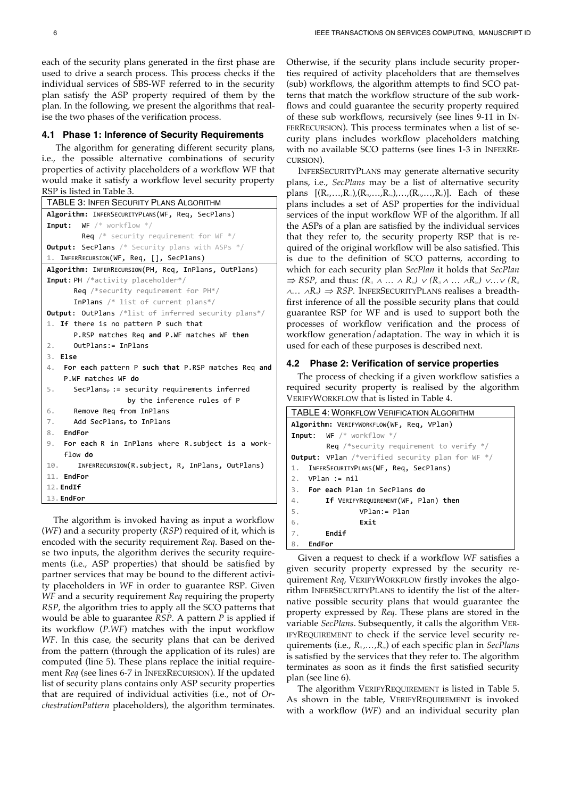each of the security plans generated in the first phase are used to drive a search process. This process checks if the individual services of SBS-WF referred to in the security plan satisfy the ASP property required of them by the plan. In the following, we present the algorithms that realise the two phases of the verification process.

#### **4.1 Phase 1: Inference of Security Requirements**

The algorithm for generating different security plans, i.e., the possible alternative combinations of security properties of activity placeholders of a workflow WF that would make it satisfy a workflow level security property RSP is listed in Table 3.

```
TABLE 3: INFER SECURITY PLANS ALGORITHM
Algorithm: INFERSECURITYPLANS(WF, Req, SecPlans)
Input: WF /* workflow */
        Req /* security requirement for WF */Output: SecPlans /* Security plans with ASPs */
1. INFERRECURSION(WF, Req, [], SecPlans)
Algorithm: INFERRECURSION(PH, Req, InPlans, OutPlans)
Input: PH /*activity placeholder*/
      Req /*security requirement for PH*/
      InPlans /* list of current plans*/
Output: OutPlans /*list of inferred security plans*/
1. If there is no pattern P such that
      P.RSP matches Req and P.WF matches WF then
2. OutPlans:= InPlans
3. Else 
4. For each pattern P such that P.RSP matches Req and
    P.WF matches WF do
5. SecPlans<sub>P</sub> := security requirements inferred
                   by the inference rules of P
6. Remove Req from InPlans
7. Add SecPlans<sub>P</sub> to InPlans
8. EndFor 
9. For each R in InPlans where R.subject is a work-
    flow do
10. INFERRECURSION(R.subject, R, InPlans, OutPlans)
11. EndFor
12.EndIf
13.EndFor
```
The algorithm is invoked having as input a workflow (*WF*) and a security property (*RSP*) required of it, which is encoded with the security requirement *Req*. Based on these two inputs, the algorithm derives the security requirements (i.e., ASP properties) that should be satisfied by partner services that may be bound to the different activity placeholders in *WF* in order to guarantee RSP. Given *WF* and a security requirement *Req* requiring the property *RSP*, the algorithm tries to apply all the SCO patterns that would be able to guarantee *RSP*. A pattern *P* is applied if its workflow (*P.WF*) matches with the input workflow *WF*. In this case, the security plans that can be derived from the pattern (through the application of its rules) are computed (line 5). These plans replace the initial requirement *Req* (see lines 6-7 in INFERRECURSION). If the updated list of security plans contains only ASP security properties that are required of individual activities (i.e., not of *OrchestrationPattern* placeholders), the algorithm terminates.

Otherwise, if the security plans include security properties required of activity placeholders that are themselves (sub) workflows, the algorithm attempts to find SCO patterns that match the workflow structure of the sub workflows and could guarantee the security property required of these sub workflows, recursively (see lines 9-11 in IN-FERRECURSION). This process terminates when a list of security plans includes workflow placeholders matching with no available SCO patterns (see lines 1-3 in INFERRE-CURSION).

INFERSECURITYPLANS may generate alternative security plans, i.e., *SecPlans* may be a list of alternative security plans  $[(R_{11},\ldots,R_{1n})/(R_{21},\ldots,R_{2m})\ldots/(R_{k1},\ldots,R_{k})]$ . Each of these plans includes a set of ASP properties for the individual services of the input workflow WF of the algorithm. If all the ASPs of a plan are satisfied by the individual services that they refer to, the security property RSP that is required of the original workflow will be also satisfied. This is due to the definition of SCO patterns, according to which for each security plan *SecPlan* it holds that *SecPlan*  $\Rightarrow$  *RSP*, and thus:  $(R_n \land \dots \land R_n) \lor (R_n \land \dots \land R_n) \lor \dots \lor (R_n)$ <sup>Ù</sup>*…* Ù*Rkl)* <sup>Þ</sup> *RSP.* INFERSECURITYPLANS realises a breadthfirst inference of all the possible security plans that could guarantee RSP for WF and is used to support both the processes of workflow verification and the process of workflow generation/adaptation. The way in which it is used for each of these purposes is described next.

#### **4.2 Phase 2: Verification of service properties**

The process of checking if a given workflow satisfies a required security property is realised by the algorithm VERIFYWORKFLOW that is listed in Table 4.

| <b>TABLE 4: WORKFLOW VERIFICATION ALGORITHM</b>         |  |  |  |  |  |  |
|---------------------------------------------------------|--|--|--|--|--|--|
| Algorithm: VERIFYWORKFLOW(WF, Req, VPlan)               |  |  |  |  |  |  |
| <b>Input:</b> WF $/*$ workflow $*/$                     |  |  |  |  |  |  |
| <b>Req</b> /*security requirement to verify $*/$        |  |  |  |  |  |  |
| <b>Output:</b> VPlan /*verified security plan for WF */ |  |  |  |  |  |  |
| 1. INFERSECURITYPLANS (WF, Req, SecPlans)               |  |  |  |  |  |  |
| VPlan := nil<br>2.                                      |  |  |  |  |  |  |
| 3. For each Plan in SecPlans do                         |  |  |  |  |  |  |
| 4.<br>If VERIFYREQUIREMENT (WF, Plan) then              |  |  |  |  |  |  |
| 5.<br>$VPlan := Plan$                                   |  |  |  |  |  |  |
| 6.<br>Exit                                              |  |  |  |  |  |  |
| Endif<br>7.                                             |  |  |  |  |  |  |
| 8.<br><b>EndFor</b>                                     |  |  |  |  |  |  |

Given a request to check if a workflow *WF* satisfies a given security property expressed by the security requirement *Req*, VERIFYWORKFLOW firstly invokes the algorithm INFERSECURITYPLANS to identify the list of the alternative possible security plans that would guarantee the property expressed by *Req*. These plans are stored in the variable *SecPlans*. Subsequently, it calls the algorithm VER-IFYREQUIREMENT to check if the service level security requirements (i.e.,  $R_{n},...,R_{m}$ ) of each specific plan in *SecPlans* is satisfied by the services that they refer to. The algorithm terminates as soon as it finds the first satisfied security plan (see line 6).

The algorithm VERIFYREQUIREMENT is listed in Table 5. As shown in the table, VERIFYREQUIREMENT is invoked with a workflow (*WF*) and an individual security plan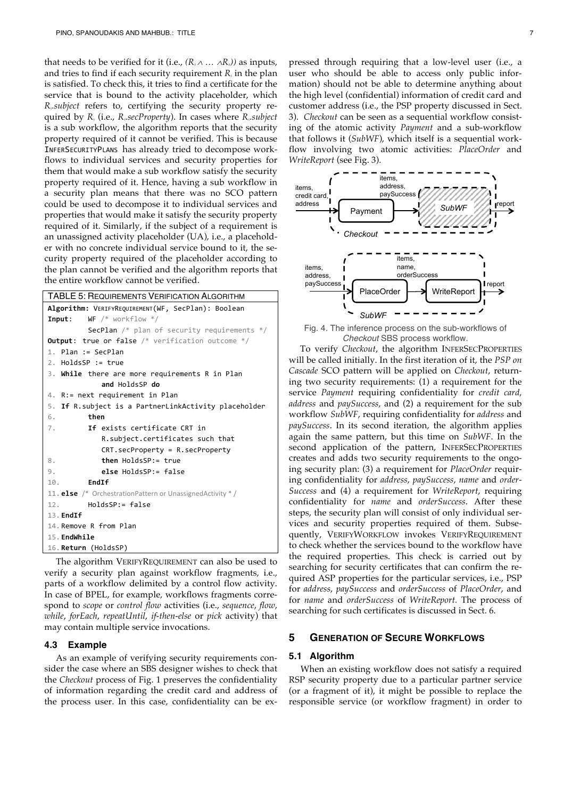that needs to be verified for it (i.e.,  $(R_{\alpha} \wedge \ldots \wedge R_{\alpha})$ ) as inputs, and tries to find if each security requirement  $R_{\mu}$  in the plan is satisfied. To check this, it tries to find a certificate for the service that is bound to the activity placeholder, which *Rij.subject* refers to, certifying the security property required by *Rij* (i.e., *Rij.secProperty*). In cases where *Rij.subject*  is a sub workflow, the algorithm reports that the security property required of it cannot be verified. This is because INFERSECURITYPLANS has already tried to decompose workflows to individual services and security properties for them that would make a sub workflow satisfy the security property required of it. Hence, having a sub workflow in a security plan means that there was no SCO pattern could be used to decompose it to individual services and properties that would make it satisfy the security property required of it. Similarly, if the subject of a requirement is an unassigned activity placeholder (UA), i.e., a placeholder with no concrete individual service bound to it, the security property required of the placeholder according to the plan cannot be verified and the algorithm reports that the entire workflow cannot be verified.

| <b>TABLE 5: REQUIREMENTS VERIFICATION ALGORITHM</b>                    |  |  |  |  |  |  |  |  |
|------------------------------------------------------------------------|--|--|--|--|--|--|--|--|
| Algorithm: VERIFYREQUIREMENT(WF, SecPlan): Boolean                     |  |  |  |  |  |  |  |  |
| $WF$ /* workflow */<br>Input:                                          |  |  |  |  |  |  |  |  |
| <b>SecPlan</b> $/*$ plan of security requirements $*/$                 |  |  |  |  |  |  |  |  |
| <b>Output:</b> true or false $/*$ verification outcome $*/$            |  |  |  |  |  |  |  |  |
| 1. Plan := SecPlan                                                     |  |  |  |  |  |  |  |  |
| 2. HoldsSP := true                                                     |  |  |  |  |  |  |  |  |
| 3. While there are more requirements R in Plan                         |  |  |  |  |  |  |  |  |
| and HoldsSP do                                                         |  |  |  |  |  |  |  |  |
| 4. R:= next requirement in Plan                                        |  |  |  |  |  |  |  |  |
| If R. subject is a PartnerLinkActivity placeholder<br>5.               |  |  |  |  |  |  |  |  |
| then<br>6.                                                             |  |  |  |  |  |  |  |  |
| 7.<br>If exists certificate CRT in                                     |  |  |  |  |  |  |  |  |
| R.subject.certificates such that                                       |  |  |  |  |  |  |  |  |
| $CRT.secProperty = R.secProperty$                                      |  |  |  |  |  |  |  |  |
| then HoldsSP:= true<br>8.                                              |  |  |  |  |  |  |  |  |
| 9.<br>else HoldsSP:= false                                             |  |  |  |  |  |  |  |  |
| <b>EndTf</b><br>10.                                                    |  |  |  |  |  |  |  |  |
| 11. <b>else</b> $/*$ Orchestration Pattern or Unassigned Activity $*/$ |  |  |  |  |  |  |  |  |
| 12. HoldsSP:= false                                                    |  |  |  |  |  |  |  |  |
| $13.$ EndIf                                                            |  |  |  |  |  |  |  |  |
| 14. Remove R from Plan                                                 |  |  |  |  |  |  |  |  |
| 15. EndWhile                                                           |  |  |  |  |  |  |  |  |
| 16. Return (HoldsSP)                                                   |  |  |  |  |  |  |  |  |
|                                                                        |  |  |  |  |  |  |  |  |

The algorithm VERIFYREQUIREMENT can also be used to verify a security plan against workflow fragments, i.e., parts of a workflow delimited by a control flow activity. In case of BPEL, for example, workflows fragments correspond to *scope* or *control flow* activities (i.e., *sequence*, *flow*, *while*, *forEach*, *repeatUntil*, *if-then-else* or *pick* activity) that may contain multiple service invocations.

#### **4.3 Example**

As an example of verifying security requirements consider the case where an SBS designer wishes to check that the *Checkout* process of Fig. 1 preserves the confidentiality of information regarding the credit card and address of the process user. In this case, confidentiality can be ex-

pressed through requiring that a low-level user (i.e., a user who should be able to access only public information) should not be able to determine anything about the high level (confidential) information of credit card and customer address (i.e., the PSP property discussed in Sect. 3). *Checkout* can be seen as a sequential workflow consisting of the atomic activity *Payment* and a sub-workflow that follows it (*SubWF*), which itself is a sequential workflow involving two atomic activities: *PlaceOrder* and *WriteReport* (see Fig. 3).



Fig. 4. The inference process on the sub-workflows of *Checkout* SBS process workflow.

To verify *Checkout*, the algorithm INFERSECPROPERTIES will be called initially. In the first iteration of it, the *PSP on Cascade* SCO pattern will be applied on *Checkout*, returning two security requirements: (1) a requirement for the service *Payment* requiring confidentiality for *credit card*, *address* and *paySuccess*, and (2) a requirement for the sub workflow *SubWF*, requiring confidentiality for *address* and *paySuccess*. In its second iteration, the algorithm applies again the same pattern, but this time on *SubWF*. In the second application of the pattern, INFERSECPROPERTIES creates and adds two security requirements to the ongoing security plan: (3) a requirement for *PlaceOrder* requiring confidentiality for *address*, *paySuccess*, *name* and *order-Success* and (4) a requirement for *WriteReport*, requiring confidentiality for *name* and *orderSuccess*. After these steps, the security plan will consist of only individual services and security properties required of them. Subsequently, VERIFYWORKFLOW invokes VERIFYREQUIREMENT to check whether the services bound to the workflow have the required properties. This check is carried out by searching for security certificates that can confirm the required ASP properties for the particular services, i.e., PSP for *address*, *paySuccess* and *orderSuccess* of *PlaceOrder*, and for *name* and *orderSuccess* of *WriteReport.* The process of searching for such certificates is discussed in Sect. 6.

# **5 GENERATION OF SECURE WORKFLOWS**

## **5.1 Algorithm**

When an existing workflow does not satisfy a required RSP security property due to a particular partner service (or a fragment of it), it might be possible to replace the responsible service (or workflow fragment) in order to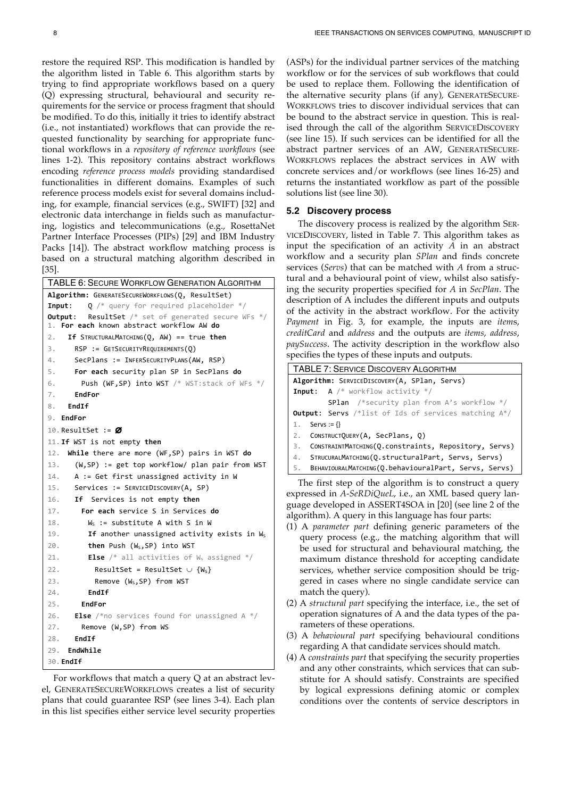restore the required RSP. This modification is handled by the algorithm listed in Table 6. This algorithm starts by trying to find appropriate workflows based on a query (Q) expressing structural, behavioural and security requirements for the service or process fragment that should be modified. To do this, initially it tries to identify abstract (i.e., not instantiated) workflows that can provide the requested functionality by searching for appropriate functional workflows in a *repository of reference workflows* (see lines 1-2). This repository contains abstract workflows encoding *reference process models* providing standardised functionalities in different domains. Examples of such reference process models exist for several domains including, for example, financial services (e.g., SWIFT) [32] and electronic data interchange in fields such as manufacturing, logistics and telecommunications (e.g., RosettaNet Partner Interface Processes (PIPs) [29] and IBM Industry Packs [14]). The abstract workflow matching process is based on a structural matching algorithm described in [35].

| TABLE 6: SECURE WORKFLOW GENERATION ALGORITHM                                                         |  |  |  |  |  |  |  |
|-------------------------------------------------------------------------------------------------------|--|--|--|--|--|--|--|
| Algorithm: GENERATESECUREWORKFLOWS(Q, ResultSet)                                                      |  |  |  |  |  |  |  |
| $Q$ /* query for required placeholder */<br>Input:                                                    |  |  |  |  |  |  |  |
| <b>ResultSet</b> /* set of generated secure WFs */<br>Output:                                         |  |  |  |  |  |  |  |
| For each known abstract workflow AW do<br>1. .<br>If STRUCTURALMATCHING( $0$ , AW) == true then<br>2. |  |  |  |  |  |  |  |
|                                                                                                       |  |  |  |  |  |  |  |
| 3.<br>$RSP := GETSECURITYREQUIREMENTS(Q)$                                                             |  |  |  |  |  |  |  |
| SecPlans := INFERSECURITYPLANS(AW, RSP)<br>4.                                                         |  |  |  |  |  |  |  |
| For each security plan SP in SecPlans do<br>5.                                                        |  |  |  |  |  |  |  |
| Push (WF, SP) into WST /* WST: stack of WFs */<br>6.                                                  |  |  |  |  |  |  |  |
| EndFor<br>7.                                                                                          |  |  |  |  |  |  |  |
| EndIf<br>8.                                                                                           |  |  |  |  |  |  |  |
| 9. EndFor                                                                                             |  |  |  |  |  |  |  |
| 10. ResultSet := $\varnothing$                                                                        |  |  |  |  |  |  |  |
| 11. If WST is not empty then                                                                          |  |  |  |  |  |  |  |
| While there are more (WF, SP) pairs in WST do<br>12.                                                  |  |  |  |  |  |  |  |
| (W, SP) := get top workflow/ plan pair from WST<br>13.                                                |  |  |  |  |  |  |  |
| A := Get first unassigned activity in W<br>14.                                                        |  |  |  |  |  |  |  |
| Services := SERVICEDISCOVERY(A, SP)<br>15.                                                            |  |  |  |  |  |  |  |
| 16.<br>If Services is not empty then                                                                  |  |  |  |  |  |  |  |
| For each service S in Services do<br>17.                                                              |  |  |  |  |  |  |  |
| 18.<br>$W_s$ : = substitute A with S in W                                                             |  |  |  |  |  |  |  |
| If another unassigned activity exists in Ws<br>19.                                                    |  |  |  |  |  |  |  |
| 20.<br>then Push (W <sub>s</sub> , SP) into WST                                                       |  |  |  |  |  |  |  |
| 21.<br><b>Else</b> /* all activities of $W_s$ assigned */                                             |  |  |  |  |  |  |  |
| 22.<br>ResultSet = ResultSet $\cup$ {W <sub>s</sub> }                                                 |  |  |  |  |  |  |  |
| Remove (W <sub>s</sub> , SP) from WST<br>23.                                                          |  |  |  |  |  |  |  |
| EndIf<br>24.                                                                                          |  |  |  |  |  |  |  |
| 25.<br><b>EndFor</b>                                                                                  |  |  |  |  |  |  |  |
| <b>Else</b> /*no services found for unassigned A */<br>26.                                            |  |  |  |  |  |  |  |
| Remove (W,SP) from WS<br>27.                                                                          |  |  |  |  |  |  |  |
| EndIf<br>28.                                                                                          |  |  |  |  |  |  |  |
| 29.<br>EndWhile                                                                                       |  |  |  |  |  |  |  |
| 30. EndIf                                                                                             |  |  |  |  |  |  |  |

For workflows that match a query Q at an abstract level, GENERATESECUREWORKFLOWS creates a list of security plans that could guarantee RSP (see lines 3-4). Each plan in this list specifies either service level security properties (ASPs) for the individual partner services of the matching workflow or for the services of sub workflows that could be used to replace them. Following the identification of the alternative security plans (if any), GENERATESECURE-WORKFLOWS tries to discover individual services that can be bound to the abstract service in question. This is realised through the call of the algorithm SERVICEDISCOVERY (see line 15). If such services can be identified for all the abstract partner services of an AW, GENERATESECURE-WORKFLOWS replaces the abstract services in AW with concrete services and/or workflows (see lines 16-25) and returns the instantiated workflow as part of the possible solutions list (see line 30).

## **5.2 Discovery process**

The discovery process is realized by the algorithm SER-VICEDISCOVERY, listed in Table 7. This algorithm takes as input the specification of an activity *A* in an abstract workflow and a security plan *SPlan* and finds concrete services (*Servs*) that can be matched with *A* from a structural and a behavioural point of view, whilst also satisfying the security properties specified for *A* in *SecPlan*. The description of A includes the different inputs and outputs of the activity in the abstract workflow. For the activity *Payment* in Fig. 3, for example, the inputs are *item*s, *creditCard* and *address* and the outputs are *items*, *address*, *paySuccess*. The activity description in the workflow also specifies the types of these inputs and outputs.

| <b>TABLE 7: SERVICE DISCOVERY ALGORITHM</b>                    |  |  |  |  |  |  |  |
|----------------------------------------------------------------|--|--|--|--|--|--|--|
| Algorithm: SERVICEDISCOVERY(A, SPlan, Servs)                   |  |  |  |  |  |  |  |
| <b>Input:</b> A $/*$ workflow activity $*/$                    |  |  |  |  |  |  |  |
| <b>SPlan</b> /*security plan from A's workflow $*/$            |  |  |  |  |  |  |  |
| <b>Output:</b> Servs /*list of Ids of services matching $A^*/$ |  |  |  |  |  |  |  |
| 1. Servs := {}                                                 |  |  |  |  |  |  |  |
| CONSTRUCTQUERY(A, SecPlans, Q)<br>2.                           |  |  |  |  |  |  |  |
| CONSTRAINTMATCHING(Q.constraints, Repository, Servs)<br>3.     |  |  |  |  |  |  |  |
| STRUCURALMATCHING(0.structuralPart, Servs, Servs)<br>4.        |  |  |  |  |  |  |  |
| BEHAVIOURALMATCHING(Q.behaviouralPart, Servs, Servs)<br>5.     |  |  |  |  |  |  |  |
| The Cost step of the straight to the construction of a         |  |  |  |  |  |  |  |

The first step of the algorithm is to construct a query expressed in *A-SeRDiQueL*, i.e., an XML based query language developed in ASSERT4SOA in [20] (see line 2 of the algorithm). A query in this language has four parts:

- (1) A *parameter part* defining generic parameters of the query process (e.g., the matching algorithm that will be used for structural and behavioural matching, the maximum distance threshold for accepting candidate services, whether service composition should be triggered in cases where no single candidate service can match the query).
- (2) A *structural part* specifying the interface, i.e., the set of operation signatures of A and the data types of the parameters of these operations.
- (3) A *behavioural part* specifying behavioural conditions regarding A that candidate services should match.
- (4) A *constraints part* that specifying the security properties and any other constraints, which services that can substitute for A should satisfy. Constraints are specified by logical expressions defining atomic or complex conditions over the contents of service descriptors in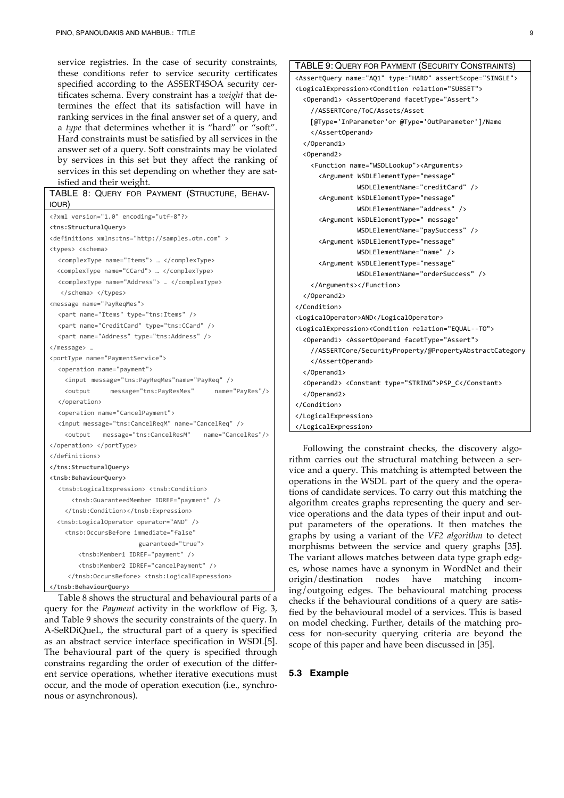service registries. In the case of security constraints, these conditions refer to service security certificates specified according to the ASSERT4SOA security certificates schema. Every constraint has a *weight* that determines the effect that its satisfaction will have in ranking services in the final answer set of a query, and a *type* that determines whether it is "hard" or "soft". Hard constraints must be satisfied by all services in the answer set of a query. Soft constraints may be violated by services in this set but they affect the ranking of services in this set depending on whether they are satisfied and their weight.

| TABLE 8: QUERY FOR PAYMENT (STRUCTURE, BEHAV-                                       |
|-------------------------------------------------------------------------------------|
| IOUR)                                                                               |
| xml version="1.0" encoding="utf-8"?                                                 |
| <tns:structuralquery></tns:structuralquery>                                         |
| <definitions xmlns:tns="http://samples.otn.com"></definitions>                      |
| <types> <schema></schema></types>                                                   |
| <complextype name="Items"> </complextype>                                           |
| <complextype name="CCard"> </complextype>                                           |
| <complextype name="Address"> </complextype>                                         |
|                                                                                     |
| <message name="PayReqMes"></message>                                                |
| <part name="Items" type="tns:Items"></part>                                         |
| <part name="CreditCard" type="tns:CCard"></part>                                    |
| <part name="Address" type="tns:Address"></part>                                     |
|                                                                                     |
| <porttype name="PaymentService"></porttype>                                         |
| <operation name="payment"></operation>                                              |
| <input message="tns:PayReqMes" name="PayReq"/>                                      |
| <output<br>message="tns:PayResMes"<br/>name="PayRes"/&gt;</output<br>               |
|                                                                                     |
| <operation name="CancelPayment"></operation>                                        |
| <input message="tns:CancelReqM" name="CancelReq"/>                                  |
| message="tns:CancelResM" name="CancelRes"/><br><output< td=""></output<>            |
|                                                                                     |
|                                                                                     |
|                                                                                     |
| <tnsb:behaviourquery></tnsb:behaviourquery>                                         |
| <tnsb:logicalexpression> <tnsb:condition></tnsb:condition></tnsb:logicalexpression> |
| <tnsb:guaranteedmember idref="payment"></tnsb:guaranteedmember>                     |
|                                                                                     |
| <tnsb:logicaloperator operator="AND"></tnsb:logicaloperator>                        |
| <tnsb:occursbefore <="" immediate="false" td=""></tnsb:occursbefore>                |
| guaranteed="true">                                                                  |
| <tnsb:member1 idref="payment"></tnsb:member1>                                       |
| <tnsb:member2 idref="cancelPayment"></tnsb:member2>                                 |
| <tnsb:logicalexpression></tnsb:logicalexpression>                                   |
|                                                                                     |

Table 8 shows the structural and behavioural parts of a query for the *Payment* activity in the workflow of Fig. 3, and Table 9 shows the security constraints of the query. In A-SeRDiQueL, the structural part of a query is specified as an abstract service interface specification in WSDL[5]. The behavioural part of the query is specified through constrains regarding the order of execution of the different service operations, whether iterative executions must occur, and the mode of operation execution (i.e., synchronous or asynchronous).

| TABLE 9: QUERY FOR PAYMENT (SECURITY CONSTRAINTS)                                   |  |  |  |  |  |  |
|-------------------------------------------------------------------------------------|--|--|--|--|--|--|
| <assertquery assertscope="SINGLE" name="AQ1" type="HARD"></assertquery>             |  |  |  |  |  |  |
| <logicalexpression><condition relation="SUBSET"></condition></logicalexpression>    |  |  |  |  |  |  |
| <operand1> <assertoperand facettype="Assert"></assertoperand></operand1>            |  |  |  |  |  |  |
| //ASSERTCore/ToC/Assets/Asset                                                       |  |  |  |  |  |  |
| [@Type='InParameter'or @Type='OutParameter']/Name                                   |  |  |  |  |  |  |
|                                                                                     |  |  |  |  |  |  |
|                                                                                     |  |  |  |  |  |  |
| <operand2></operand2>                                                               |  |  |  |  |  |  |
| <function name="WSDLLookup"><arguments></arguments></function>                      |  |  |  |  |  |  |
| <argument <="" td="" wsdlelementtype="message"></argument>                          |  |  |  |  |  |  |
| WSDLElementName="creditCard" />                                                     |  |  |  |  |  |  |
| <argument <="" td="" wsdlelementtype="message"></argument>                          |  |  |  |  |  |  |
| WSDLElementName="address" />                                                        |  |  |  |  |  |  |
| <argument <="" td="" wsdlelementtype=" message"></argument>                         |  |  |  |  |  |  |
| WSDLElementName="paySuccess" />                                                     |  |  |  |  |  |  |
| <argument <="" td="" wsdlelementtype="message"></argument>                          |  |  |  |  |  |  |
| WSDLElementName="name" />                                                           |  |  |  |  |  |  |
| <argument <="" td="" wsdlelementtype="message"></argument>                          |  |  |  |  |  |  |
| WSDLElementName="orderSuccess" />                                                   |  |  |  |  |  |  |
|                                                                                     |  |  |  |  |  |  |
|                                                                                     |  |  |  |  |  |  |
|                                                                                     |  |  |  |  |  |  |
| <logicaloperator>AND</logicaloperator>                                              |  |  |  |  |  |  |
| <logicalexpression><condition relation="EQUAL--TO"></condition></logicalexpression> |  |  |  |  |  |  |
| <operand1> <assertoperand facettype="Assert"></assertoperand></operand1>            |  |  |  |  |  |  |
| //ASSERTCore/SecurityProperty/@PropertyAbstractCategory                             |  |  |  |  |  |  |
|                                                                                     |  |  |  |  |  |  |
|                                                                                     |  |  |  |  |  |  |
| <operand2> <constant type="STRING">PSP C</constant></operand2>                      |  |  |  |  |  |  |
|                                                                                     |  |  |  |  |  |  |
|                                                                                     |  |  |  |  |  |  |
|                                                                                     |  |  |  |  |  |  |
|                                                                                     |  |  |  |  |  |  |

Following the constraint checks, the discovery algorithm carries out the structural matching between a service and a query. This matching is attempted between the operations in the WSDL part of the query and the operations of candidate services. To carry out this matching the algorithm creates graphs representing the query and service operations and the data types of their input and output parameters of the operations. It then matches the graphs by using a variant of the *VF2 algorithm* to detect morphisms between the service and query graphs [35]. The variant allows matches between data type graph edges, whose names have a synonym in WordNet and their origin/destination nodes have matching incoming/outgoing edges. The behavioural matching process checks if the behavioural conditions of a query are satisfied by the behavioural model of a services. This is based on model checking. Further, details of the matching process for non-security querying criteria are beyond the scope of this paper and have been discussed in [35].

## **5.3 Example**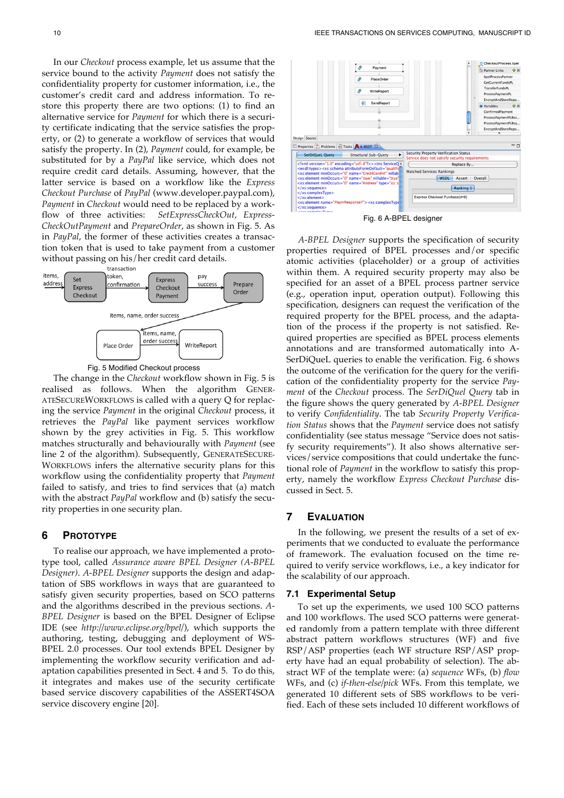In our *Checkout* process example, let us assume that the service bound to the activity *Payment* does not satisfy the confidentiality property for customer information, i.e., the customer's credit card and address information. To restore this property there are two options: (1) to find an alternative service for *Payment* for which there is a security certificate indicating that the service satisfies the property, or (2) to generate a workflow of services that would satisfy the property. In (2), *Payment* could, for example, be substituted for by a *PayPal* like service, which does not require credit card details. Assuming, however, that the latter service is based on a workflow like the *Express Checkout Purchase* of *PayPal* (www.developer.paypal.com), *Payment* in *Checkout* would need to be replaced by a workflow of three activities: *SetExpressCheckOut*, *Express-CheckOutPayment* and *PrepareOrder*, as shown in Fig. 5. As in *PayPal*, the former of these activities creates a transaction token that is used to take payment from a customer without passing on his/her credit card details.<br>transaction





The change in the *Checkout* workflow shown in Fig. 5 is realised as follows. When the algorithm GENER-ATESECUREWORKFLOWS is called with a query Q for replacing the service *Payment* in the original *Checkout* process, it retrieves the *PayPal* like payment services workflow shown by the grey activities in Fig. 5. This workflow matches structurally and behaviourally with *Payment* (see line 2 of the algorithm). Subsequently, GENERATESECURE-WORKFLOWS infers the alternative security plans for this workflow using the confidentiality property that *Payment* failed to satisfy, and tries to find services that (a) match with the abstract *PayPal* workflow and (b) satisfy the security properties in one security plan.

# **6 PROTOTYPE**

To realise our approach, we have implemented a prototype tool, called *Assurance aware BPEL Designer (A-BPEL Designer)*. *A-BPEL Designer* supports the design and adaptation of SBS workflows in ways that are guaranteed to satisfy given security properties, based on SCO patterns and the algorithms described in the previous sections. *A-BPEL Designer* is based on the BPEL Designer of Eclipse IDE (see *http://www.eclipse.org/bpel/*), which supports the authoring, testing, debugging and deployment of WS-BPEL 2.0 processes. Our tool extends BPEL Designer by implementing the workflow security verification and adaptation capabilities presented in Sect. 4 and 5. To do this, it integrates and makes use of the security certificate based service discovery capabilities of the ASSERT4SOA service discovery engine [20].



Fig. 6 A-BPEL designer

*A-BPEL Designer* supports the specification of security properties required of BPEL processes and/or specific atomic activities (placeholder) or a group of activities within them. A required security property may also be specified for an asset of a BPEL process partner service (e.g., operation input, operation output). Following this specification, designers can request the verification of the required property for the BPEL process, and the adaptation of the process if the property is not satisfied. Required properties are specified as BPEL process elements annotations and are transformed automatically into A-SerDiQueL queries to enable the verification. Fig. 6 shows the outcome of the verification for the query for the verification of the confidentiality property for the service *Payment* of the *Checkout* process. The *SerDiQuel Query* tab in the figure shows the query generated by *A-BPEL Designer* to verify *Confidentiality*. The tab *Security Property Verification Status* shows that the *Payment* service does not satisfy confidentiality (see status message "Service does not satisfy security requirements"). It also shows alternative services/service compositions that could undertake the functional role of *Payment* in the workflow to satisfy this property, namely the workflow *Express Checkout Purchase* discussed in Sect. 5.

# **7 EVALUATION**

In the following, we present the results of a set of experiments that we conducted to evaluate the performance of framework. The evaluation focused on the time required to verify service workflows, i.e., a key indicator for the scalability of our approach.

### **7.1 Experimental Setup**

To set up the experiments, we used 100 SCO patterns and 100 workflows. The used SCO patterns were generated randomly from a pattern template with three different abstract pattern workflows structures (WF) and five RSP/ASP properties (each WF structure RSP/ASP property have had an equal probability of selection). The abstract WF of the template were: (a) *sequence* WFs, (b) *flow* WFs, and (c) *if-then-else/pick* WFs. From this template, we generated 10 different sets of SBS workflows to be verified. Each of these sets included 10 different workflows of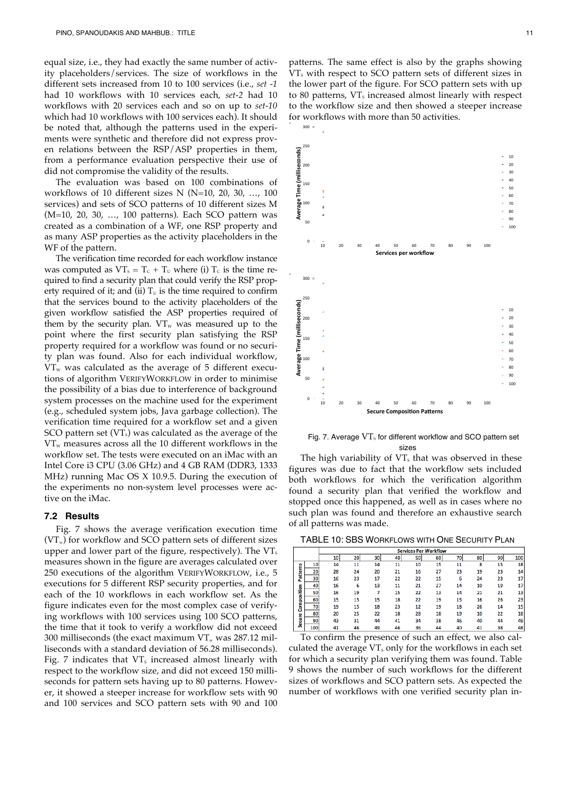equal size, i.e., they had exactly the same number of activity placeholders/services. The size of workflows in the different sets increased from 10 to 100 services (i.e., *set -1* had 10 workflows with 10 services each, *set-2* had 10 workflows with 20 services each and so on up to *set-10* which had 10 workflows with 100 services each). It should be noted that, although the patterns used in the experiments were synthetic and therefore did not express proven relations between the RSP/ASP properties in them, from a performance evaluation perspective their use of did not compromise the validity of the results.

The evaluation was based on 100 combinations of workflows of 10 different sizes N (N=10, 20, 30, ..., 100 services) and sets of SCO patterns of 10 different sizes M (M=10, 20, 30, …, 100 patterns). Each SCO pattern was created as a combination of a WF, one RSP property and as many ASP properties as the activity placeholders in the WF of the pattern.

The verification time recorded for each workflow instance was computed as  $VT_s = T_c + T_u$  where (i)  $T_c$  is the time required to find a security plan that could verify the RSP property required of it; and (ii)  $T_U$  is the time required to confirm that the services bound to the activity placeholders of the given workflow satisfied the ASP properties required of them by the security plan.  $VT_w$  was measured up to the point where the first security plan satisfying the RSP property required for a workflow was found or no security plan was found. Also for each individual workflow,  $VT_w$  was calculated as the average of 5 different executions of algorithm VERIFYWORKFLOW in order to minimise the possibility of a bias due to interference of background system processes on the machine used for the experiment (e.g., scheduled system jobs, Java garbage collection). The verification time required for a workflow set and a given SCO pattern set  $(VT<sub>s</sub>)$  was calculated as the average of the  $VT_w$  measures across all the 10 different workflows in the workflow set. The tests were executed on an iMac with an Intel Core i3 CPU (3.06 GHz) and 4 GB RAM (DDR3, 1333 MHz) running Mac OS X 10.9.5. During the execution of the experiments no non-system level processes were active on the iMac.

## **7.2 Results**

Fig. 7 shows the average verification execution time  $(VT_w)$  for workflow and SCO pattern sets of different sizes upper and lower part of the figure, respectively). The  $VT_s$ measures shown in the figure are averages calculated over 250 executions of the algorithm VERIFYWORKFLOW, i.e., 5 executions for 5 different RSP security properties, and for each of the 10 workflows in each workflow set. As the figure indicates even for the most complex case of verifying workflows with 100 services using 100 SCO patterns, the time that it took to verify a workflow did not exceed 300 milliseconds (the exact maximum  $VT_w$  was 287.12 milliseconds with a standard deviation of 56.28 milliseconds). Fig. 7 indicates that  $VT_s$  increased almost linearly with respect to the workflow size, and did not exceed 150 milliseconds for pattern sets having up to 80 patterns. However, it showed a steeper increase for workflow sets with 90 and 100 services and SCO pattern sets with 90 and 100 patterns. The same effect is also by the graphs showing VT<sub>s</sub> with respect to SCO pattern sets of different sizes in the lower part of the figure. For SCO pattern sets with up to 80 patterns,  $VT_s$  increased almost linearly with respect to the workflow size and then showed a steeper increase for workflows with more than 50 activities.



Fig. 7. Average  $VT_s$  for different workflow and SCO pattern set sizes

The high variability of  $VT_s$  that was observed in these figures was due to fact that the workflow sets included both workflows for which the verification algorithm found a security plan that verified the workflow and stopped once this happened, as well as in cases where no such plan was found and therefore an exhaustive search of all patterns was made.

TABLE 10: SBS WORKFLOWS WITH ONE SECURITY PLAN

|               |     | <b>Services Per Workflow</b> |    |    |    |    |    |    |    |    |     |
|---------------|-----|------------------------------|----|----|----|----|----|----|----|----|-----|
|               |     | 10                           | 20 | 30 | 40 | 50 | 60 | 70 | 80 | 90 | 100 |
|               | 10  | 14                           | 11 | 14 | 11 | 10 | 15 | 11 | 8  | 15 | 18  |
| Patterns      | 20  | 28                           | 24 | 20 | 21 | 16 | 27 | 23 | 19 | 23 | 14  |
|               | 30  | 16                           | 23 | 17 | 22 | 22 | 15 | 6  | 24 | 23 | 17  |
|               | 40  | 16                           | 6  | 13 | 11 | 21 | 27 | 14 | 10 | 19 | 17  |
| Composition   | 50  | 16                           | 19 |    | 15 | 22 | 13 | 14 | 21 | 21 | 13  |
|               | 60  | 15                           | 15 | 15 | 18 | 22 | 19 | 15 | 16 | 26 | 23  |
|               | 70  | 19                           | 15 | 18 | 23 | 12 | 19 | 18 | 26 | 14 | 15  |
| <b>Secure</b> | 80  | 20                           | 25 | 22 | 18 | 28 | 18 | 19 | 10 | 22 | 18  |
|               | 90  | 43                           | 31 | 44 | 41 | 34 | 38 | 46 | 40 | 44 | 49  |
|               | 100 | 41                           | 46 | 49 | 46 | 36 | 44 | 40 | 41 | 38 | 48  |

To confirm the presence of such an effect, we also calculated the average  $VT_s$  only for the workflows in each set for which a security plan verifying them was found. Table 9 shows the number of such workflows for the different sizes of workflows and SCO pattern sets. As expected the number of workflows with one verified security plan in-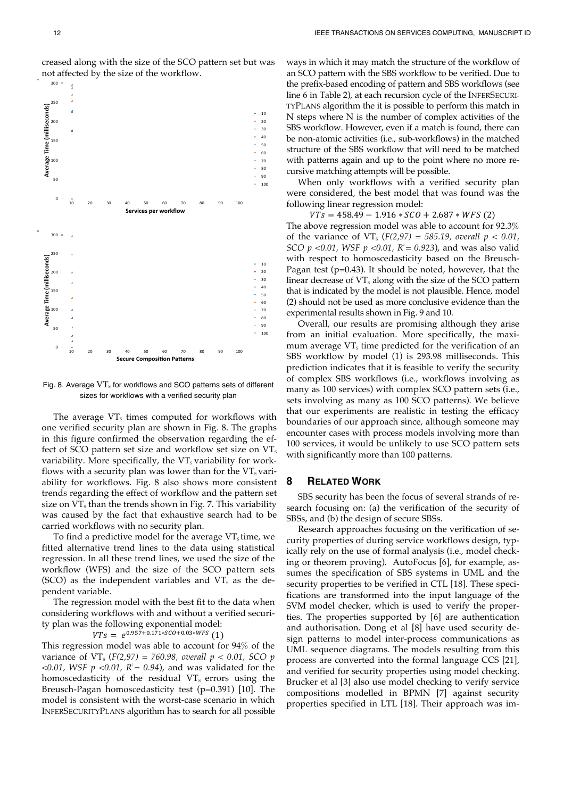

creased along with the size of the SCO pattern set but was not affected by the size of the workflow.

Fig. 8. Average  $VT_s$  for workflows and SCO patterns sets of different sizes for workflows with a verified security plan

The average  $VT_s$  times computed for workflows with one verified security plan are shown in Fig. 8. The graphs in this figure confirmed the observation regarding the effect of SCO pattern set size and workflow set size on  $VT_s$ variability. More specifically, the  $VT_s$  variability for workflows with a security plan was lower than for the  $VT<sub>s</sub>$  variability for workflows. Fig. 8 also shows more consistent trends regarding the effect of workflow and the pattern set size on  $VT_s$  than the trends shown in Fig. 7. This variability was caused by the fact that exhaustive search had to be carried workflows with no security plan.

To find a predictive model for the average  $VT_s$  time, we fitted alternative trend lines to the data using statistical regression. In all these trend lines, we used the size of the workflow (WFS) and the size of the SCO pattern sets (SCO) as the independent variables and  $VT<sub>s</sub>$  as the dependent variable.

The regression model with the best fit to the data when considering workflows with and without a verified security plan was the following exponential model:

 $VTs = e^{0.957 + 0.171 * SCO + 0.03 * WFS}$  (1)

This regression model was able to account for 94% of the variance of VT<sub>s</sub> ( $F(2,97) = 760.98$ , overall  $p < 0.01$ , SCO  $p$  $<$  0.01, WSF  $p$   $<$  0.01,  $R$ <sup> $=$ </sup> 0.94), and was validated for the homoscedasticity of the residual  $VT_s$  errors using the Breusch-Pagan homoscedasticity test (p=0.391) [10]. The model is consistent with the worst-case scenario in which INFERSECURITYPLANS algorithm has to search for all possible

ways in which it may match the structure of the workflow of an SCO pattern with the SBS workflow to be verified. Due to the prefix-based encoding of pattern and SBS workflows (see line 6 in Table 2), at each recursion cycle of the INFERSECURI-TYPLANS algorithm the it is possible to perform this match in N steps where N is the number of complex activities of the SBS workflow. However, even if a match is found, there can be non-atomic activities (i.e., sub-workflows) in the matched structure of the SBS workflow that will need to be matched with patterns again and up to the point where no more recursive matching attempts will be possible.

When only workflows with a verified security plan were considered, the best model that was found was the following linear regression model:

 $VTs = 458.49 - 1.916 * SCO + 2.687 * WFS (2)$ The above regression model was able to account for 92.3% of the variance of VT<sub>s</sub> ( $F(2,97) = 585.19$ , *overall*  $p < 0.01$ , *SCO p <0.01, WSF p <0.01, R<sup>2</sup> = 0.923),* and was also valid with respect to homoscedasticity based on the Breusch-Pagan test ( $p=0.43$ ). It should be noted, however, that the linear decrease of  $VT_s$  along with the size of the SCO pattern that is indicated by the model is not plausible. Hence, model (2) should not be used as more conclusive evidence than the experimental results shown in Fig. 9 and 10.

Overall, our results are promising although they arise from an initial evaluation. More specifically, the maximum average  $VT_s$  time predicted for the verification of an SBS workflow by model (1) is 293.98 milliseconds. This prediction indicates that it is feasible to verify the security of complex SBS workflows (i.e., workflows involving as many as 100 services) with complex SCO pattern sets (i.e., sets involving as many as 100 SCO patterns). We believe that our experiments are realistic in testing the efficacy boundaries of our approach since, although someone may encounter cases with process models involving more than 100 services, it would be unlikely to use SCO pattern sets with significantly more than 100 patterns.

# **8 RELATED WORK**

SBS security has been the focus of several strands of research focusing on: (a) the verification of the security of SBSs, and (b) the design of secure SBSs.

Research approaches focusing on the verification of security properties of during service workflows design, typically rely on the use of formal analysis (i.e., model checking or theorem proving). AutoFocus [6], for example, assumes the specification of SBS systems in UML and the security properties to be verified in CTL [18]. These specifications are transformed into the input language of the SVM model checker, which is used to verify the properties. The properties supported by [6] are authentication and authorisation. Dong et al [8] have used security design patterns to model inter-process communications as UML sequence diagrams. The models resulting from this process are converted into the formal language CCS [21], and verified for security properties using model checking. Brucker et al [3] also use model checking to verify service compositions modelled in BPMN [7] against security properties specified in LTL [18]. Their approach was im-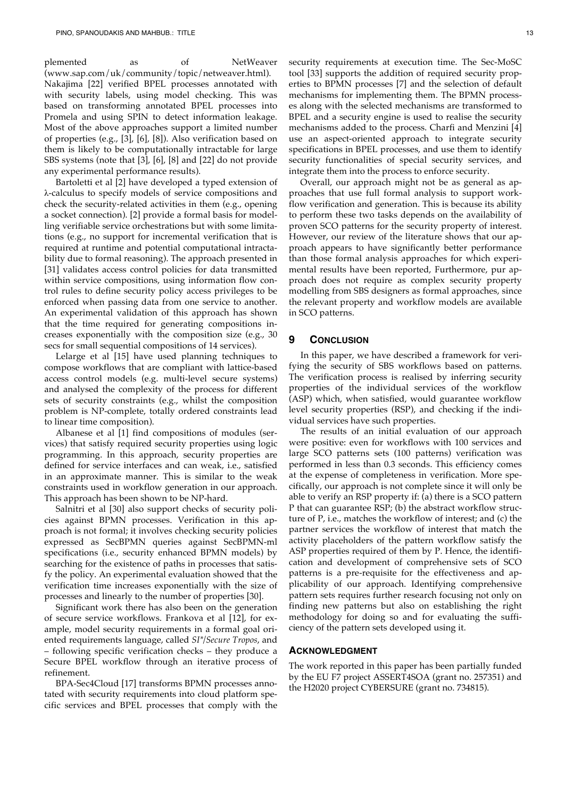plemented as of NetWeaver (www.sap.com/uk/community/topic/netweaver.html). Nakajima [22] verified BPEL processes annotated with with security labels, using model checking. This was based on transforming annotated BPEL processes into Promela and using SPIN to detect information leakage. Most of the above approaches support a limited number of properties (e.g., [3], [6], [8]). Also verification based on them is likely to be computationally intractable for large SBS systems (note that [3], [6], [8] and [22] do not provide any experimental performance results).

Bartoletti et al [2] have developed a typed extension of λ-calculus to specify models of service compositions and check the security-related activities in them (e.g., opening a socket connection). [2] provide a formal basis for modelling verifiable service orchestrations but with some limitations (e.g., no support for incremental verification that is required at runtime and potential computational intractability due to formal reasoning). The approach presented in [31] validates access control policies for data transmitted within service compositions, using information flow control rules to define security policy access privileges to be enforced when passing data from one service to another. An experimental validation of this approach has shown that the time required for generating compositions increases exponentially with the composition size (e.g., 30 secs for small sequential compositions of 14 services).

Lelarge et al [15] have used planning techniques to compose workflows that are compliant with lattice-based access control models (e.g. multi-level secure systems) and analysed the complexity of the process for different sets of security constraints (e.g., whilst the composition problem is NP-complete, totally ordered constraints lead to linear time composition).

Albanese et al [1] find compositions of modules (services) that satisfy required security properties using logic programming. In this approach, security properties are defined for service interfaces and can weak, i.e., satisfied in an approximate manner. This is similar to the weak constraints used in workflow generation in our approach. This approach has been shown to be NP-hard.

Salnitri et al [30] also support checks of security policies against BPMN processes. Verification in this approach is not formal; it involves checking security policies expressed as SecBPMN queries against SecBPMN-ml specifications (i.e., security enhanced BPMN models) by searching for the existence of paths in processes that satisfy the policy. An experimental evaluation showed that the verification time increases exponentially with the size of processes and linearly to the number of properties [30].

Significant work there has also been on the generation of secure service workflows. Frankova et al [12], for example, model security requirements in a formal goal oriented requirements language, called *SI\*/Secure Tropos*, and – following specific verification checks – they produce a Secure BPEL workflow through an iterative process of refinement.

BPA-Sec4Cloud [17] transforms BPMN processes annotated with security requirements into cloud platform specific services and BPEL processes that comply with the security requirements at execution time. The Sec-MoSC tool [33] supports the addition of required security properties to BPMN processes [7] and the selection of default mechanisms for implementing them. The BPMN processes along with the selected mechanisms are transformed to BPEL and a security engine is used to realise the security mechanisms added to the process. Charfi and Menzini [4] use an aspect-oriented approach to integrate security specifications in BPEL processes, and use them to identify security functionalities of special security services, and integrate them into the process to enforce security.

Overall, our approach might not be as general as approaches that use full formal analysis to support workflow verification and generation. This is because its ability to perform these two tasks depends on the availability of proven SCO patterns for the security property of interest. However, our review of the literature shows that our approach appears to have significantly better performance than those formal analysis approaches for which experimental results have been reported, Furthermore, pur approach does not require as complex security property modelling from SBS designers as formal approaches, since the relevant property and workflow models are available in SCO patterns.

## **9 CONCLUSION**

In this paper, we have described a framework for verifying the security of SBS workflows based on patterns. The verification process is realised by inferring security properties of the individual services of the workflow (ASP) which, when satisfied, would guarantee workflow level security properties (RSP), and checking if the individual services have such properties.

The results of an initial evaluation of our approach were positive: even for workflows with 100 services and large SCO patterns sets (100 patterns) verification was performed in less than 0.3 seconds. This efficiency comes at the expense of completeness in verification. More specifically, our approach is not complete since it will only be able to verify an RSP property if: (a) there is a SCO pattern P that can guarantee RSP; (b) the abstract workflow structure of P, i.e., matches the workflow of interest; and (c) the partner services the workflow of interest that match the activity placeholders of the pattern workflow satisfy the ASP properties required of them by P. Hence, the identification and development of comprehensive sets of SCO patterns is a pre-requisite for the effectiveness and applicability of our approach. Identifying comprehensive pattern sets requires further research focusing not only on finding new patterns but also on establishing the right methodology for doing so and for evaluating the sufficiency of the pattern sets developed using it.

### **ACKNOWLEDGMENT**

The work reported in this paper has been partially funded by the EU F7 project ASSERT4SOA (grant no. 257351) and the H2020 project CYBERSURE (grant no. 734815).